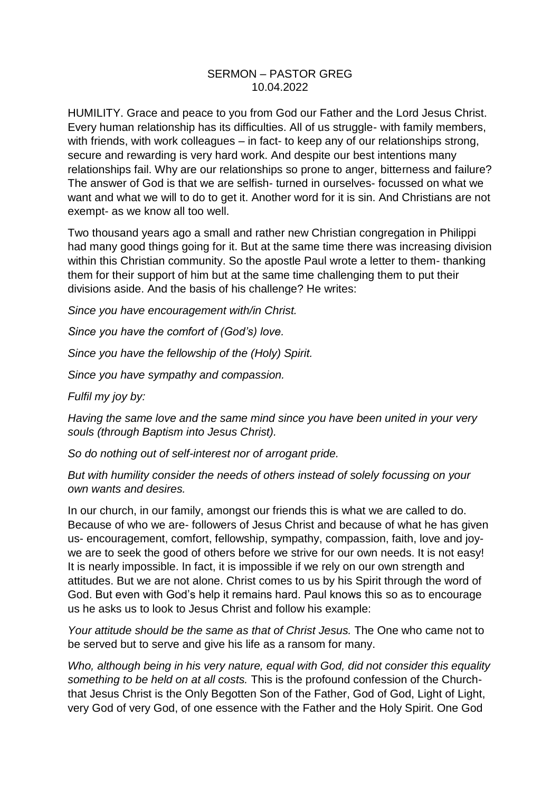## SERMON – PASTOR GREG 10.04.2022

HUMILITY. Grace and peace to you from God our Father and the Lord Jesus Christ. Every human relationship has its difficulties. All of us struggle- with family members, with friends, with work colleagues – in fact- to keep any of our relationships strong, secure and rewarding is very hard work. And despite our best intentions many relationships fail. Why are our relationships so prone to anger, bitterness and failure? The answer of God is that we are selfish- turned in ourselves- focussed on what we want and what we will to do to get it. Another word for it is sin. And Christians are not exempt- as we know all too well.

Two thousand years ago a small and rather new Christian congregation in Philippi had many good things going for it. But at the same time there was increasing division within this Christian community. So the apostle Paul wrote a letter to them- thanking them for their support of him but at the same time challenging them to put their divisions aside. And the basis of his challenge? He writes:

*Since you have encouragement with/in Christ.*

*Since you have the comfort of (God's) love.*

*Since you have the fellowship of the (Holy) Spirit.*

*Since you have sympathy and compassion.*

*Fulfil my joy by:*

*Having the same love and the same mind since you have been united in your very souls (through Baptism into Jesus Christ).*

*So do nothing out of self-interest nor of arrogant pride.*

*But with humility consider the needs of others instead of solely focussing on your own wants and desires.* 

In our church, in our family, amongst our friends this is what we are called to do. Because of who we are- followers of Jesus Christ and because of what he has given us- encouragement, comfort, fellowship, sympathy, compassion, faith, love and joywe are to seek the good of others before we strive for our own needs. It is not easy! It is nearly impossible. In fact, it is impossible if we rely on our own strength and attitudes. But we are not alone. Christ comes to us by his Spirit through the word of God. But even with God's help it remains hard. Paul knows this so as to encourage us he asks us to look to Jesus Christ and follow his example:

*Your attitude should be the same as that of Christ Jesus.* The One who came not to be served but to serve and give his life as a ransom for many.

*Who, although being in his very nature, equal with God, did not consider this equality something to be held on at all costs.* This is the profound confession of the Churchthat Jesus Christ is the Only Begotten Son of the Father, God of God, Light of Light, very God of very God, of one essence with the Father and the Holy Spirit. One God